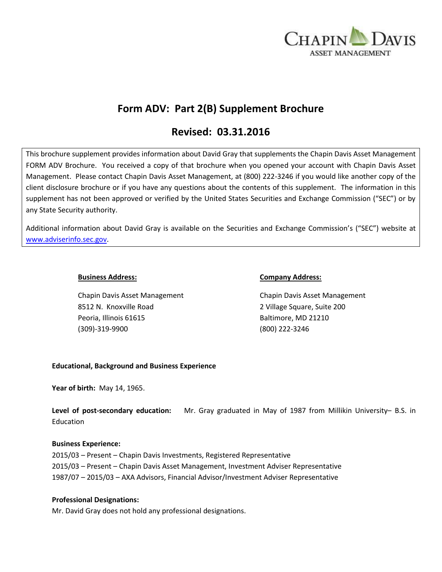

# **Form ADV: Part 2(B) Supplement Brochure**

# **Revised: 03.31.2016**

This brochure supplement provides information about David Gray that supplements the Chapin Davis Asset Management FORM ADV Brochure. You received a copy of that brochure when you opened your account with Chapin Davis Asset Management. Please contact Chapin Davis Asset Management, at (800) 222-3246 if you would like another copy of the client disclosure brochure or if you have any questions about the contents of this supplement. The information in this supplement has not been approved or verified by the United States Securities and Exchange Commission ("SEC") or by any State Security authority.

Additional information about David Gray is available on the Securities and Exchange Commission's ("SEC") website at [www.adviserinfo.sec.gov.](http://www.adviserinfo.sec.gov/)

Chapin Davis Asset Management Chapin Davis Asset Management 8512 N. Knoxville Road 2 Village Square, Suite 200 Peoria, Illinois 61615 Baltimore, MD 21210 (309)-319-9900 (800) 222-3246

### **Business Address: Company Address:**

## **Educational, Background and Business Experience**

**Year of birth:** May 14, 1965.

**Level of post-secondary education:** Mr. Gray graduated in May of 1987 from Millikin University– B.S. in Education

#### **Business Experience:**

2015/03 – Present – Chapin Davis Investments, Registered Representative 2015/03 – Present – Chapin Davis Asset Management, Investment Adviser Representative 1987/07 – 2015/03 – AXA Advisors, Financial Advisor/Investment Adviser Representative

## **Professional Designations:**

Mr. David Gray does not hold any professional designations.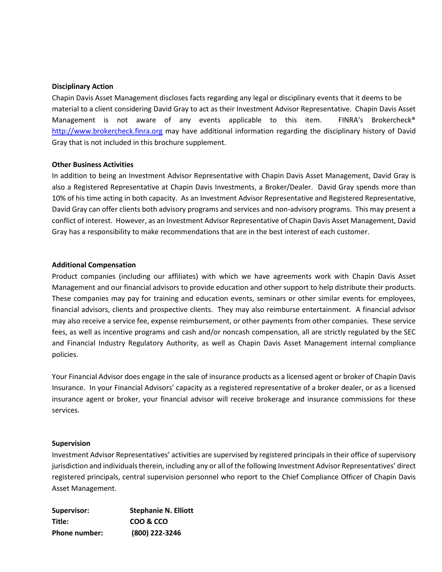#### **Disciplinary Action**

Chapin Davis Asset Management discloses facts regarding any legal or disciplinary events that it deems to be material to a client considering David Gray to act as their Investment Advisor Representative. Chapin Davis Asset Management is not aware of any events applicable to this item. FINRA's Brokercheck® [http://www.brokercheck.finra.org](http://www.brokercheck.finra.org/) may have additional information regarding the disciplinary history of David Gray that is not included in this brochure supplement.

### **Other Business Activities**

In addition to being an Investment Advisor Representative with Chapin Davis Asset Management, David Gray is also a Registered Representative at Chapin Davis Investments, a Broker/Dealer. David Gray spends more than 10% of his time acting in both capacity. As an Investment Advisor Representative and Registered Representative, David Gray can offer clients both advisory programs and services and non-advisory programs. This may present a conflict of interest. However, as an Investment Advisor Representative of Chapin Davis Asset Management, David Gray has a responsibility to make recommendations that are in the best interest of each customer.

### **Additional Compensation**

Product companies (including our affiliates) with which we have agreements work with Chapin Davis Asset Management and our financial advisors to provide education and other support to help distribute their products. These companies may pay for training and education events, seminars or other similar events for employees, financial advisors, clients and prospective clients. They may also reimburse entertainment. A financial advisor may also receive a service fee, expense reimbursement, or other payments from other companies. These service fees, as well as incentive programs and cash and/or noncash compensation, all are strictly regulated by the SEC and Financial Industry Regulatory Authority, as well as Chapin Davis Asset Management internal compliance policies.

Your Financial Advisor does engage in the sale of insurance products as a licensed agent or broker of Chapin Davis Insurance. In your Financial Advisors' capacity as a registered representative of a broker dealer, or as a licensed insurance agent or broker, your financial advisor will receive brokerage and insurance commissions for these services.

#### **Supervision**

Investment Advisor Representatives' activities are supervised by registered principals in their office of supervisory jurisdiction and individuals therein, including any or all of the following Investment Advisor Representatives' direct registered principals, central supervision personnel who report to the Chief Compliance Officer of Chapin Davis Asset Management.

| Supervisor:          | <b>Stephanie N. Elliott</b> |
|----------------------|-----------------------------|
| Title:               | COO & CCO                   |
| <b>Phone number:</b> | (800) 222-3246              |